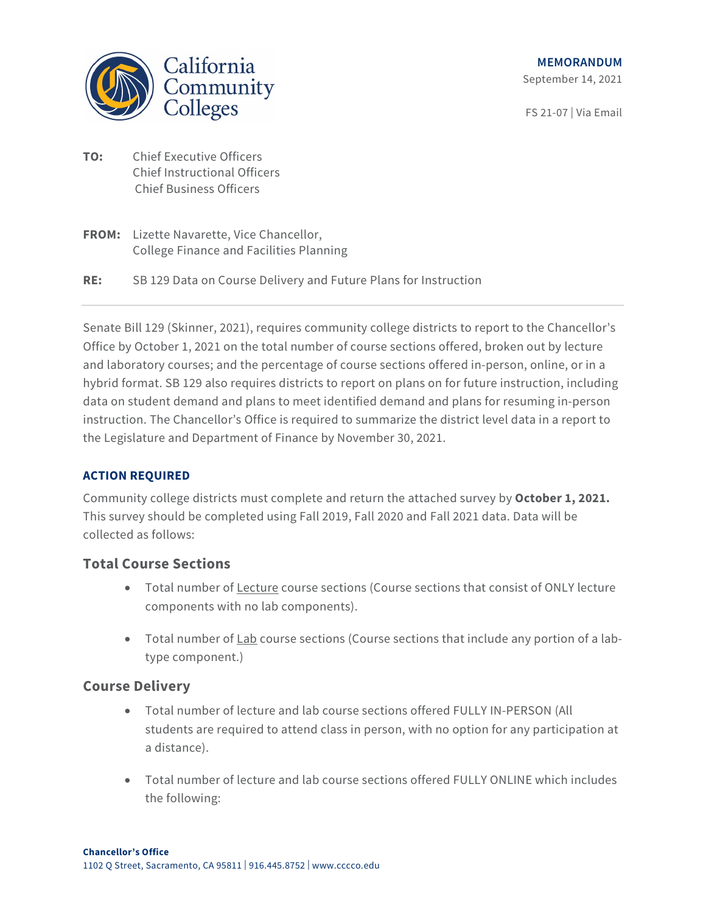

FS 21-07 | Via Email

- **TO:** Chief Executive Officers Chief Instructional Officers Chief Business Officers
- **FROM:** Lizette Navarette, Vice Chancellor, College Finance and Facilities Planning
- **RE:** SB 129 Data on Course Delivery and Future Plans for Instruction

Senate Bill 129 (Skinner, 2021), requires community college districts to report to the Chancellor's Office by October 1, 2021 on the total number of course sections offered, broken out by lecture and laboratory courses; and the percentage of course sections offered in-person, online, or in a hybrid format. SB 129 also requires districts to report on plans on for future instruction, including data on student demand and plans to meet identified demand and plans for resuming in-person instruction. The Chancellor's Office is required to summarize the district level data in a report to the Legislature and Department of Finance by November 30, 2021.

## **ACTION REQUIRED**

Community college districts must complete and return the attached survey by **October 1, 2021.** This survey should be completed using Fall 2019, Fall 2020 and Fall 2021 data. Data will be collected as follows:

## **Total Course Sections**

- Total number of Lecture course sections (Course sections that consist of ONLY lecture components with no lab components).
- Total number of  $Lab$  course sections (Course sections that include any portion of a lab-</u> type component.)

## **Course Delivery**

- Total number of lecture and lab course sections offered FULLY IN-PERSON (All students are required to attend class in person, with no option for any participation at a distance).
- Total number of lecture and lab course sections offered FULLY ONLINE which includes the following: